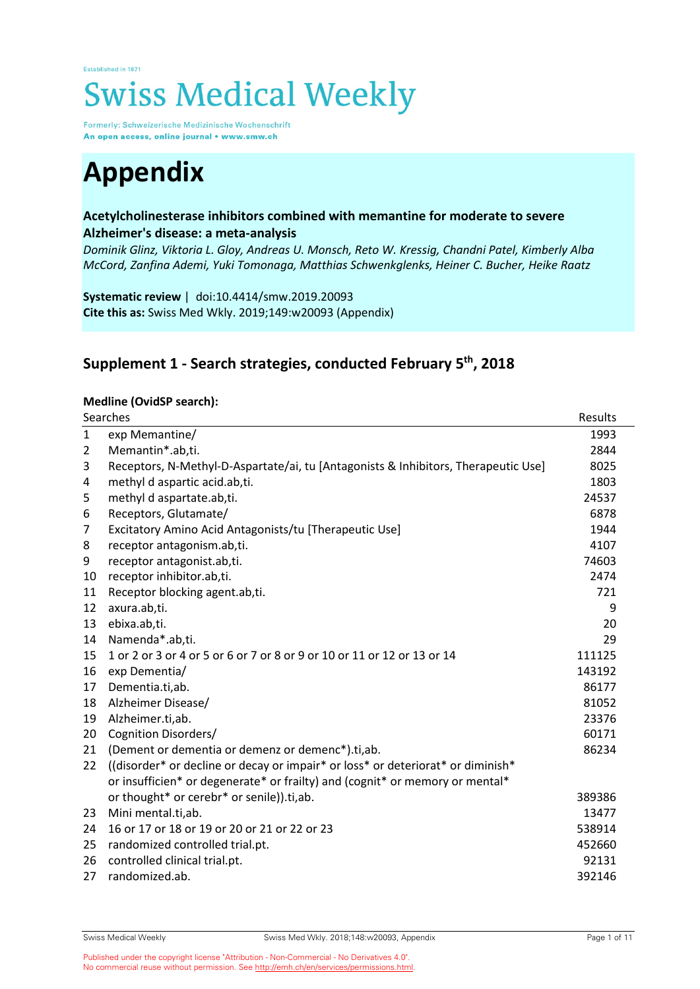# Established in 1871 **Swiss Medical Weekly**

Formerly: Schweizerische Medizinische Wochenschrift An open access, online journal • www.smw.ch

# **Appendix**

#### **Acetylcholinesterase inhibitors combined with memantine for moderate to severe Alzheimer's disease: a meta-analysis**

*Dominik Glinz, Viktoria L. Gloy, Andreas U. Monsch, Reto W. Kressig, Chandni Patel, Kimberly Alba McCord, Zanfina Ademi, Yuki Tomonaga, Matthias Schwenkglenks, Heiner C. Bucher, Heike Raatz*

**Systematic review** | doi:10.4414/smw.2019.20093 **Cite this as:** Swiss Med Wkly. 2019;149:w20093 (Appendix)

### **Supplement 1 - Search strategies, conducted February 5th, 2018**

#### **Medline (OvidSP search):**

|                | Searches                                                                           | Results |
|----------------|------------------------------------------------------------------------------------|---------|
| $\mathbf{1}$   | exp Memantine/                                                                     | 1993    |
| $\overline{2}$ | Memantin*.ab,ti.                                                                   | 2844    |
| 3              | Receptors, N-Methyl-D-Aspartate/ai, tu [Antagonists & Inhibitors, Therapeutic Use] | 8025    |
| 4              | methyl d aspartic acid.ab,ti.                                                      | 1803    |
| 5              | methyl d aspartate.ab,ti.                                                          | 24537   |
| 6              | Receptors, Glutamate/                                                              | 6878    |
| 7              | Excitatory Amino Acid Antagonists/tu [Therapeutic Use]                             | 1944    |
| 8              | receptor antagonism.ab,ti.                                                         | 4107    |
| 9              | receptor antagonist.ab,ti.                                                         | 74603   |
| 10             | receptor inhibitor.ab,ti.                                                          | 2474    |
| 11             | Receptor blocking agent.ab,ti.                                                     | 721     |
| 12             | axura.ab,ti.                                                                       | 9       |
| 13             | ebixa.ab,ti.                                                                       | 20      |
| 14             | Namenda*.ab,ti.                                                                    | 29      |
| 15             | 1 or 2 or 3 or 4 or 5 or 6 or 7 or 8 or 9 or 10 or 11 or 12 or 13 or 14            | 111125  |
| 16             | exp Dementia/                                                                      | 143192  |
| 17             | Dementia.ti,ab.                                                                    | 86177   |
| 18             | Alzheimer Disease/                                                                 | 81052   |
| 19             | Alzheimer.ti,ab.                                                                   | 23376   |
| 20             | Cognition Disorders/                                                               | 60171   |
| 21             | (Dement or dementia or demenz or demenc*).ti,ab.                                   | 86234   |
| 22             | ((disorder* or decline or decay or impair* or loss* or deteriorat* or diminish*)   |         |
|                | or insufficien* or degenerate* or frailty) and (cognit* or memory or mental*       |         |
|                | or thought* or cerebr* or senile)).ti,ab.                                          | 389386  |
| 23             | Mini mental.ti,ab.                                                                 | 13477   |
| 24             | 16 or 17 or 18 or 19 or 20 or 21 or 22 or 23                                       | 538914  |
| 25             | randomized controlled trial.pt.                                                    | 452660  |
| 26             | controlled clinical trial.pt.                                                      | 92131   |
| 27             | randomized.ab.                                                                     | 392146  |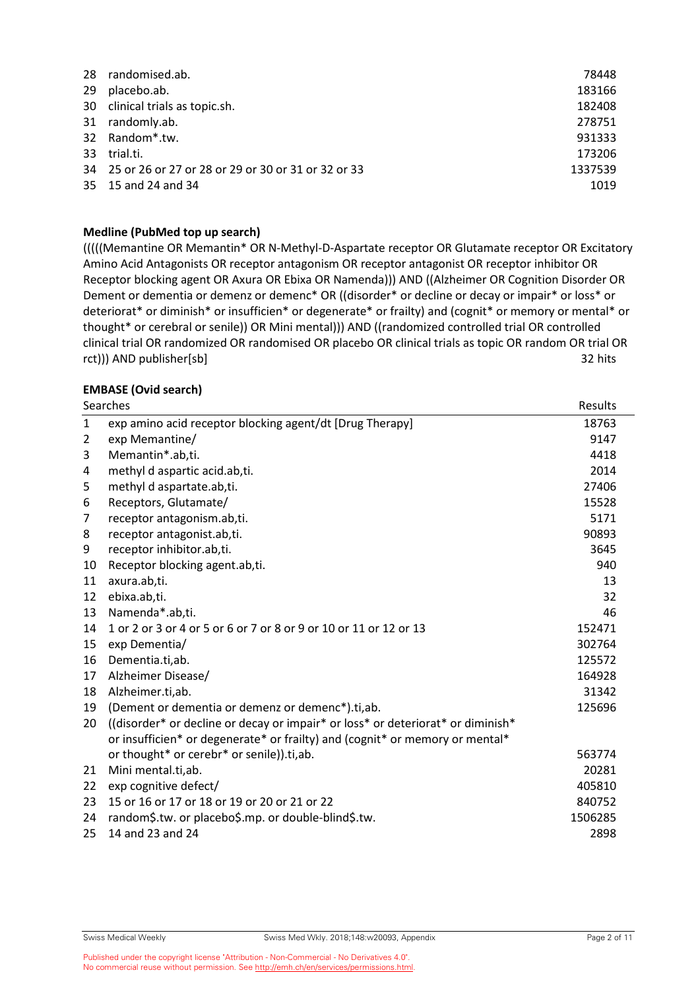| 28 | randomised.ab.                                        | 78448   |
|----|-------------------------------------------------------|---------|
| 29 | placebo.ab.                                           | 183166  |
|    | 30 clinical trials as topic.sh.                       | 182408  |
| 31 | randomly.ab.                                          | 278751  |
|    | 32 Random*.tw.                                        | 931333  |
| 33 | trial.ti.                                             | 173206  |
|    | 34 25 or 26 or 27 or 28 or 29 or 30 or 31 or 32 or 33 | 1337539 |
|    | 35 15 and 24 and 34                                   | 1019    |

#### **Medline (PubMed top up search)**

(((((Memantine OR Memantin\* OR N-Methyl-D-Aspartate receptor OR Glutamate receptor OR Excitatory Amino Acid Antagonists OR receptor antagonism OR receptor antagonist OR receptor inhibitor OR Receptor blocking agent OR Axura OR Ebixa OR Namenda))) AND ((Alzheimer OR Cognition Disorder OR Dement or dementia or demenz or demenc\* OR ((disorder\* or decline or decay or impair\* or loss\* or deteriorat\* or diminish\* or insufficien\* or degenerate\* or frailty) and (cognit\* or memory or mental\* or thought\* or cerebral or senile)) OR Mini mental))) AND ((randomized controlled trial OR controlled clinical trial OR randomized OR randomised OR placebo OR clinical trials as topic OR random OR trial OR rct))) AND publisher[sb] 32 hits 32 hits 32 hits 32 hits 32 hits 32 hits 32 hits 32 hits 32 hits 32 hits 32 hits 32 hits 32 hits 32 hits 32 hits 32 hits 32 hits 32 hits 32 hits 32 hits 32 hits 32 hits 32 hits 32 hits 32 hi

#### **EMBASE (Ovid search)**

|              | Searches                                                                         | Results |
|--------------|----------------------------------------------------------------------------------|---------|
| $\mathbf{1}$ | exp amino acid receptor blocking agent/dt [Drug Therapy]                         | 18763   |
| 2            | exp Memantine/                                                                   | 9147    |
| 3            | Memantin*.ab,ti.                                                                 | 4418    |
| 4            | methyl d aspartic acid.ab,ti.                                                    | 2014    |
| 5            | methyl d aspartate.ab,ti.                                                        | 27406   |
| 6            | Receptors, Glutamate/                                                            | 15528   |
| 7            | receptor antagonism.ab,ti.                                                       | 5171    |
| 8            | receptor antagonist.ab,ti.                                                       | 90893   |
| 9            | receptor inhibitor.ab,ti.                                                        | 3645    |
| 10           | Receptor blocking agent.ab,ti.                                                   | 940     |
| 11           | axura.ab,ti.                                                                     | 13      |
| 12           | ebixa.ab,ti.                                                                     | 32      |
| 13           | Namenda*.ab,ti.                                                                  | 46      |
| 14           | 1 or 2 or 3 or 4 or 5 or 6 or 7 or 8 or 9 or 10 or 11 or 12 or 13                | 152471  |
| 15           | exp Dementia/                                                                    | 302764  |
| 16           | Dementia.ti,ab.                                                                  | 125572  |
| 17           | Alzheimer Disease/                                                               | 164928  |
| 18           | Alzheimer.ti,ab.                                                                 | 31342   |
| 19           | (Dement or dementia or demenz or demenc*).ti,ab.                                 | 125696  |
| 20           | ((disorder* or decline or decay or impair* or loss* or deteriorat* or diminish*) |         |
|              | or insufficien* or degenerate* or frailty) and (cognit* or memory or mental*     |         |
|              | or thought* or cerebr* or senile)).ti,ab.                                        | 563774  |
| 21           | Mini mental.ti,ab.                                                               | 20281   |
| 22           | exp cognitive defect/                                                            | 405810  |
| 23           | 15 or 16 or 17 or 18 or 19 or 20 or 21 or 22                                     | 840752  |
| 24           | random\$.tw. or placebo\$.mp. or double-blind\$.tw.                              | 1506285 |
| 25           | 14 and 23 and 24                                                                 | 2898    |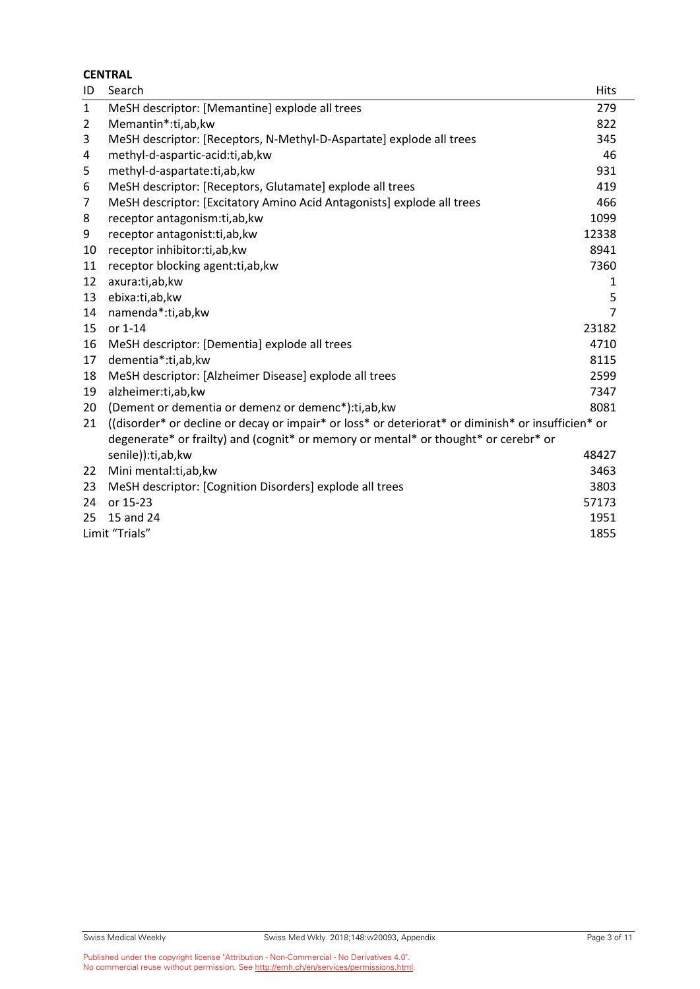|                | <b>CENTRAL</b>                                                                                     |                |  |  |  |
|----------------|----------------------------------------------------------------------------------------------------|----------------|--|--|--|
| ID             | Search                                                                                             | <b>Hits</b>    |  |  |  |
| $\mathbf{1}$   | MeSH descriptor: [Memantine] explode all trees                                                     | 279            |  |  |  |
| $\overline{2}$ | Memantin*:ti,ab,kw                                                                                 | 822            |  |  |  |
| 3              | MeSH descriptor: [Receptors, N-Methyl-D-Aspartate] explode all trees                               | 345            |  |  |  |
| 4              | methyl-d-aspartic-acid:ti,ab,kw                                                                    | 46             |  |  |  |
| 5              | methyl-d-aspartate:ti,ab,kw                                                                        | 931            |  |  |  |
| 6              | MeSH descriptor: [Receptors, Glutamate] explode all trees                                          | 419            |  |  |  |
| $\overline{7}$ | MeSH descriptor: [Excitatory Amino Acid Antagonists] explode all trees                             | 466            |  |  |  |
| 8              | receptor antagonism:ti,ab, kw                                                                      | 1099           |  |  |  |
| 9              | receptor antagonist:ti,ab,kw                                                                       | 12338          |  |  |  |
| 10             | receptor inhibitor:ti,ab,kw                                                                        | 8941           |  |  |  |
| 11             | receptor blocking agent:ti,ab, kw                                                                  | 7360           |  |  |  |
| 12             | axura:ti,ab,kw                                                                                     | 1              |  |  |  |
| 13             | ebixa:ti,ab,kw                                                                                     | 5              |  |  |  |
| 14             | namenda*:ti,ab,kw                                                                                  | $\overline{7}$ |  |  |  |
| 15             | or 1-14                                                                                            | 23182          |  |  |  |
| 16             | MeSH descriptor: [Dementia] explode all trees                                                      | 4710           |  |  |  |
| 17             | dementia*:ti,ab,kw                                                                                 | 8115           |  |  |  |
| 18             | MeSH descriptor: [Alzheimer Disease] explode all trees                                             | 2599           |  |  |  |
| 19             | alzheimer:ti,ab,kw                                                                                 | 7347           |  |  |  |
| 20             | (Dement or dementia or demenz or demenc*): ti, ab, kw                                              | 8081           |  |  |  |
| 21             | ((disorder* or decline or decay or impair* or loss* or deteriorat* or diminish* or insufficien* or |                |  |  |  |
|                | degenerate* or frailty) and (cognit* or memory or mental* or thought* or cerebr* or                |                |  |  |  |
|                | senile)):ti,ab,kw                                                                                  | 48427          |  |  |  |
| 22             | Mini mental:ti,ab,kw                                                                               | 3463           |  |  |  |
| 23             | MeSH descriptor: [Cognition Disorders] explode all trees                                           | 3803           |  |  |  |
| 24             | or 15-23                                                                                           | 57173          |  |  |  |
| 25             | 15 and 24                                                                                          | 1951           |  |  |  |
|                | Limit "Trials"<br>1855                                                                             |                |  |  |  |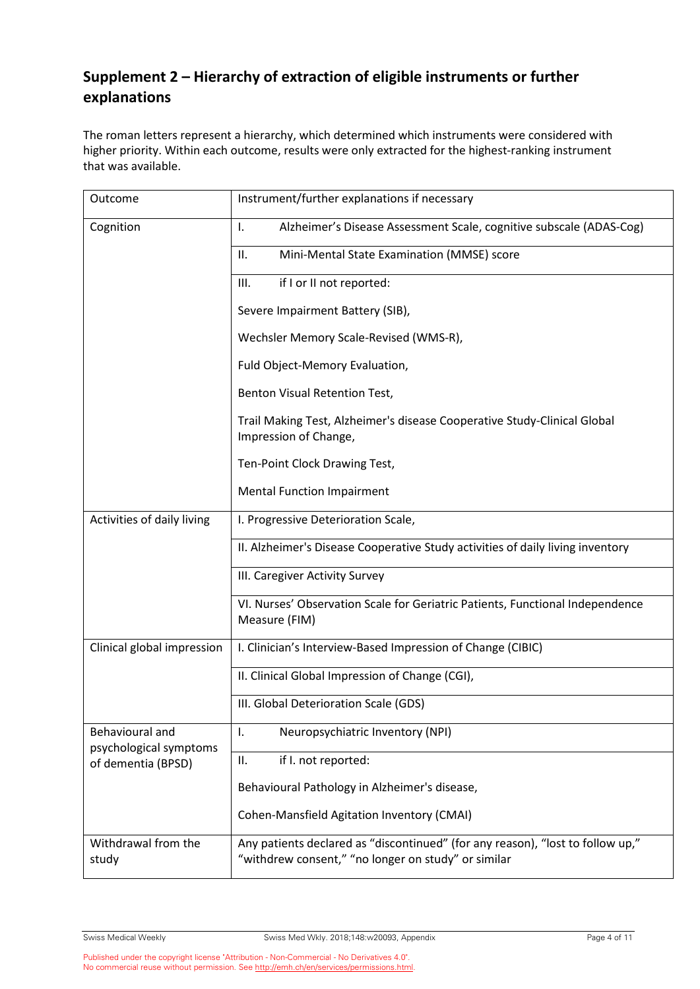## **Supplement 2 – Hierarchy of extraction of eligible instruments or further explanations**

The roman letters represent a hierarchy, which determined which instruments were considered with higher priority. Within each outcome, results were only extracted for the highest-ranking instrument that was available.

| Outcome                                      | Instrument/further explanations if necessary                                                                                          |
|----------------------------------------------|---------------------------------------------------------------------------------------------------------------------------------------|
| Cognition                                    | Alzheimer's Disease Assessment Scale, cognitive subscale (ADAS-Cog)<br>Ι.                                                             |
|                                              | Mini-Mental State Examination (MMSE) score<br>Ш.                                                                                      |
|                                              | if I or II not reported:<br>III.                                                                                                      |
|                                              | Severe Impairment Battery (SIB),                                                                                                      |
|                                              | Wechsler Memory Scale-Revised (WMS-R),                                                                                                |
|                                              | Fuld Object-Memory Evaluation,                                                                                                        |
|                                              | Benton Visual Retention Test,                                                                                                         |
|                                              | Trail Making Test, Alzheimer's disease Cooperative Study-Clinical Global<br>Impression of Change,                                     |
|                                              | Ten-Point Clock Drawing Test,                                                                                                         |
|                                              | <b>Mental Function Impairment</b>                                                                                                     |
| Activities of daily living                   | I. Progressive Deterioration Scale,                                                                                                   |
|                                              | II. Alzheimer's Disease Cooperative Study activities of daily living inventory                                                        |
|                                              | III. Caregiver Activity Survey                                                                                                        |
|                                              | VI. Nurses' Observation Scale for Geriatric Patients, Functional Independence<br>Measure (FIM)                                        |
| Clinical global impression                   | I. Clinician's Interview-Based Impression of Change (CIBIC)                                                                           |
|                                              | II. Clinical Global Impression of Change (CGI),                                                                                       |
|                                              | III. Global Deterioration Scale (GDS)                                                                                                 |
| Behavioural and                              | Neuropsychiatric Inventory (NPI)<br>Ι.                                                                                                |
| psychological symptoms<br>of dementia (BPSD) | Ш.<br>if I. not reported:                                                                                                             |
|                                              | Behavioural Pathology in Alzheimer's disease,                                                                                         |
|                                              | <b>Cohen-Mansfield Agitation Inventory (CMAI)</b>                                                                                     |
| Withdrawal from the<br>study                 | Any patients declared as "discontinued" (for any reason), "lost to follow up,"<br>"withdrew consent," "no longer on study" or similar |

Published under the copyright license "Attribution - Non-Commercial - No Derivatives 4.0". No commercial reuse without permission. Se[e http://emh.ch/en/services/permissions.html.](http://emh.ch/en/services/permissions.html)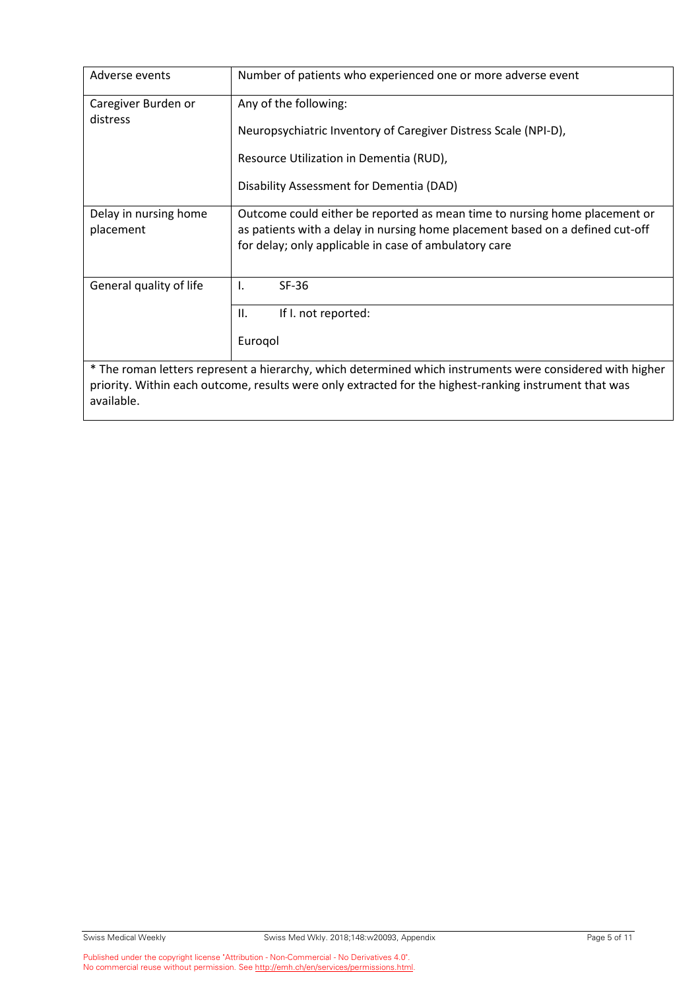| Adverse events                                                                                            | Number of patients who experienced one or more adverse event                                                                                                                                                         |  |  |  |  |  |  |
|-----------------------------------------------------------------------------------------------------------|----------------------------------------------------------------------------------------------------------------------------------------------------------------------------------------------------------------------|--|--|--|--|--|--|
| Caregiver Burden or<br>distress                                                                           | Any of the following:                                                                                                                                                                                                |  |  |  |  |  |  |
|                                                                                                           | Neuropsychiatric Inventory of Caregiver Distress Scale (NPI-D),                                                                                                                                                      |  |  |  |  |  |  |
|                                                                                                           | Resource Utilization in Dementia (RUD),                                                                                                                                                                              |  |  |  |  |  |  |
|                                                                                                           | Disability Assessment for Dementia (DAD)                                                                                                                                                                             |  |  |  |  |  |  |
| Delay in nursing home<br>placement                                                                        | Outcome could either be reported as mean time to nursing home placement or<br>as patients with a delay in nursing home placement based on a defined cut-off<br>for delay; only applicable in case of ambulatory care |  |  |  |  |  |  |
| General quality of life                                                                                   | $SF-36$<br>$\mathbf{I}$ .                                                                                                                                                                                            |  |  |  |  |  |  |
|                                                                                                           | II.<br>If I. not reported:                                                                                                                                                                                           |  |  |  |  |  |  |
|                                                                                                           | Eurogol                                                                                                                                                                                                              |  |  |  |  |  |  |
| * The roman letters represent a hierarchy, which determined which instruments were considered with higher |                                                                                                                                                                                                                      |  |  |  |  |  |  |
|                                                                                                           |                                                                                                                                                                                                                      |  |  |  |  |  |  |
| priority. Within each outcome, results were only extracted for the highest-ranking instrument that was    |                                                                                                                                                                                                                      |  |  |  |  |  |  |
| available.                                                                                                |                                                                                                                                                                                                                      |  |  |  |  |  |  |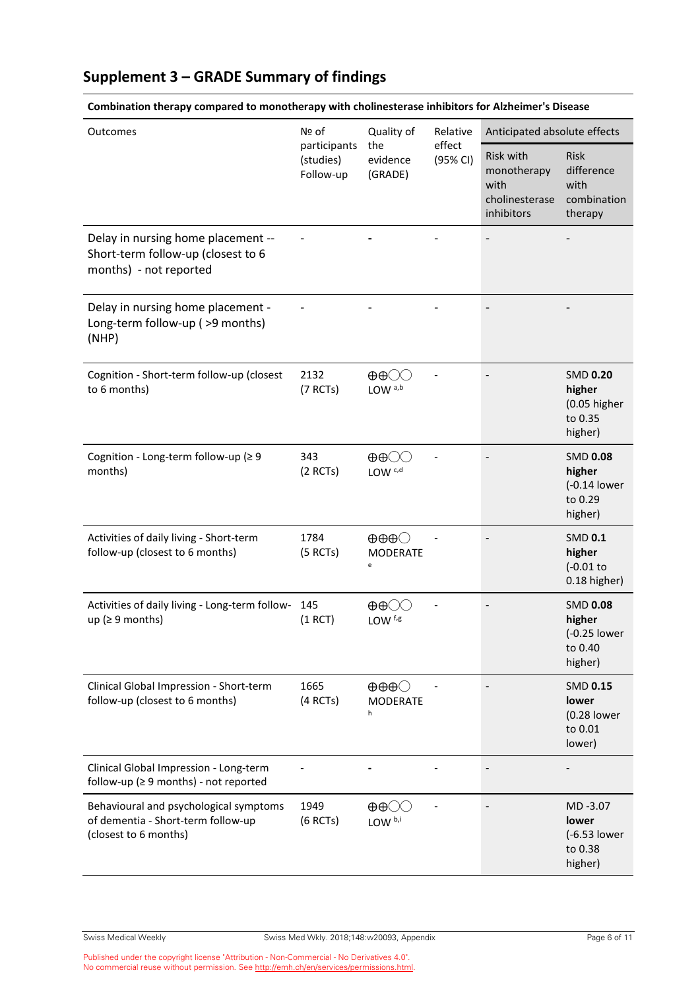## **Supplement 3 – GRADE Summary of findings**

| Outcomes                                                                                              | Nº of<br>participants<br>(studies)<br>Follow-up | Quality of<br>the<br>evidence<br>(GRADE)                | Relative<br>effect<br>(95% CI) | Anticipated absolute effects                                     |                                                                 |
|-------------------------------------------------------------------------------------------------------|-------------------------------------------------|---------------------------------------------------------|--------------------------------|------------------------------------------------------------------|-----------------------------------------------------------------|
|                                                                                                       |                                                 |                                                         |                                | Risk with<br>monotherapy<br>with<br>cholinesterase<br>inhibitors | Risk<br>difference<br>with<br>combination<br>therapy            |
| Delay in nursing home placement --<br>Short-term follow-up (closest to 6<br>months) - not reported    |                                                 |                                                         |                                |                                                                  |                                                                 |
| Delay in nursing home placement -<br>Long-term follow-up ( >9 months)<br>(NHP)                        |                                                 |                                                         |                                |                                                                  |                                                                 |
| Cognition - Short-term follow-up (closest<br>to 6 months)                                             | 2132<br>(7 RCTs)                                | $\oplus \oplus \bigcirc \bigcirc$<br>LOW <sup>a,b</sup> |                                |                                                                  | <b>SMD 0.20</b><br>higher<br>(0.05 higher<br>to 0.35<br>higher) |
| Cognition - Long-term follow-up (≥ 9<br>months)                                                       | 343<br>(2 RCTs)                                 | $\oplus \oplus \bigcirc \bigcirc$<br>LOW <sub>c,d</sub> |                                |                                                                  | <b>SMD 0.08</b><br>higher<br>(-0.14 lower<br>to 0.29<br>higher) |
| Activities of daily living - Short-term<br>follow-up (closest to 6 months)                            | 1784<br>(5 RCTs)                                | $\oplus \oplus \oplus \bigcirc$<br><b>MODERATE</b><br>e |                                |                                                                  | <b>SMD 0.1</b><br>higher<br>$(-0.01)$<br>0.18 higher)           |
| Activities of daily living - Long-term follow-<br>up ( $\geq$ 9 months)                               | 145<br>(1 RCT)                                  | $\oplus \oplus \bigcirc \bigcirc$<br>LOW <sup>f,g</sup> |                                |                                                                  | <b>SMD 0.08</b><br>higher<br>(-0.25 lower<br>to 0.40<br>higher) |
| Clinical Global Impression - Short-term<br>follow-up (closest to 6 months)                            | 1665<br>(4 RCTs)                                | $\oplus \oplus \oplus \bigcirc$<br><b>MODERATE</b><br>h |                                |                                                                  | <b>SMD 0.15</b><br>lower<br>(0.28 lower<br>to 0.01<br>lower)    |
| Clinical Global Impression - Long-term<br>follow-up ( $\geq$ 9 months) - not reported                 |                                                 |                                                         |                                |                                                                  |                                                                 |
| Behavioural and psychological symptoms<br>of dementia - Short-term follow-up<br>(closest to 6 months) | 1949<br>$(6$ RCTs)                              | $\oplus \oplus \bigcirc$<br>LOW b,i                     |                                |                                                                  | MD-3.07<br>lower<br>(-6.53 lower<br>to 0.38<br>higher)          |

#### **Combination therapy compared to monotherapy with cholinesterase inhibitors for Alzheimer's Disease**

Published under the copyright license "Attribution - Non-Commercial - No Derivatives 4.0". No commercial reuse without permission. Se[e http://emh.ch/en/services/permissions.html.](http://emh.ch/en/services/permissions.html)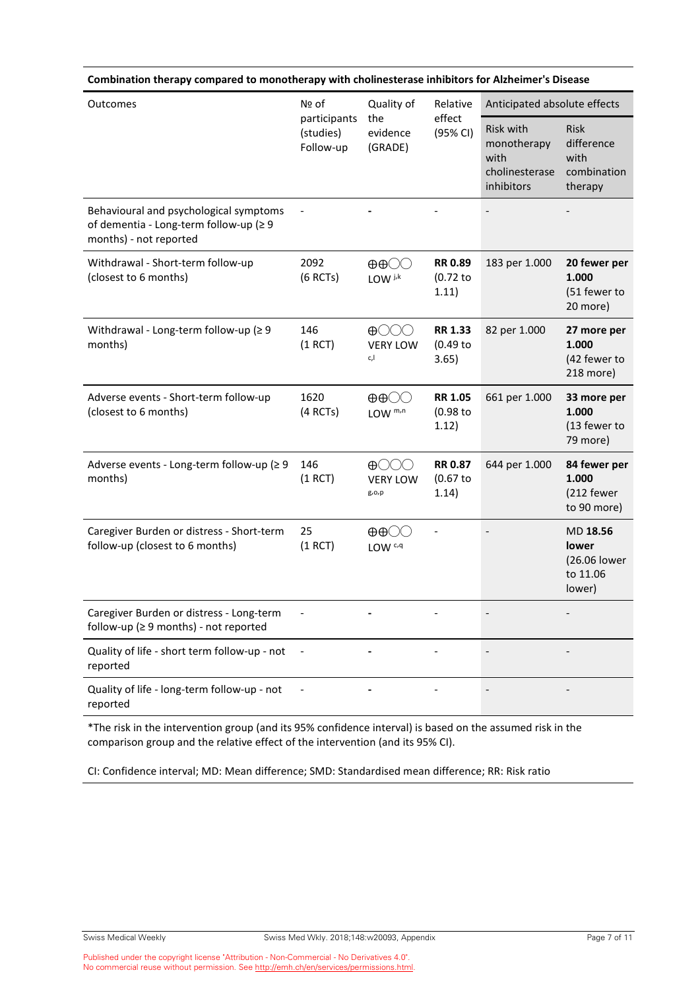| Combination therapy compared to monotherapy with cholinesterase inhibitors for Alzheimer's Disease         |                                                 |                                                                 |                                       |                                                                  |                                                             |  |
|------------------------------------------------------------------------------------------------------------|-------------------------------------------------|-----------------------------------------------------------------|---------------------------------------|------------------------------------------------------------------|-------------------------------------------------------------|--|
| Outcomes                                                                                                   | Nº of<br>participants<br>(studies)<br>Follow-up | Quality of<br>the<br>evidence<br>(GRADE)                        | Relative<br>effect<br>(95% CI)        | Anticipated absolute effects                                     |                                                             |  |
|                                                                                                            |                                                 |                                                                 |                                       | Risk with<br>monotherapy<br>with<br>cholinesterase<br>inhibitors | <b>Risk</b><br>difference<br>with<br>combination<br>therapy |  |
| Behavioural and psychological symptoms<br>of dementia - Long-term follow-up (≥ 9<br>months) - not reported |                                                 |                                                                 |                                       |                                                                  |                                                             |  |
| Withdrawal - Short-term follow-up<br>(closest to 6 months)                                                 | 2092<br>$(6$ RCTs)                              | $\oplus \oplus \bigcirc \bigcirc$<br>$LOW$ $j,k$                | <b>RR 0.89</b><br>(0.72)<br>1.11)     | 183 per 1.000                                                    | 20 fewer per<br>1.000<br>(51 fewer to<br>20 more)           |  |
| Withdrawal - Long-term follow-up (≥ 9<br>months)                                                           | 146<br>(1 RCT)                                  | $\bigoplus$ $\bigcirc$ $\bigcirc$<br><b>VERY LOW</b><br>c,l     | <b>RR 1.33</b><br>$(0.49$ to<br>3.65) | 82 per 1.000                                                     | 27 more per<br>1.000<br>(42 fewer to<br>218 more)           |  |
| Adverse events - Short-term follow-up<br>(closest to 6 months)                                             | 1620<br>(4 RCTs)                                | $\oplus \oplus \bigcirc \bigcirc$<br>LOW m <sub>,n</sub>        | <b>RR 1.05</b><br>$(0.98$ to<br>1.12) | 661 per 1.000                                                    | 33 more per<br>1.000<br>(13 fewer to<br>79 more)            |  |
| Adverse events - Long-term follow-up (≥ 9<br>months)                                                       | 146<br>(1 RCT)                                  | $\bigoplus$ $\bigcirc$ $\bigcirc$<br><b>VERY LOW</b><br>g, 0, p | <b>RR 0.87</b><br>(0.67)<br>1.14)     | 644 per 1.000                                                    | 84 fewer per<br>1.000<br>(212 fewer<br>to 90 more)          |  |
| Caregiver Burden or distress - Short-term<br>follow-up (closest to 6 months)                               | 25<br>(1 RCT)                                   | $\oplus \oplus \bigcirc \bigcirc$<br>LOW <sub>c,q</sub>         |                                       |                                                                  | MD 18.56<br>lower<br>(26.06 lower<br>to 11.06<br>lower)     |  |
| Caregiver Burden or distress - Long-term<br>follow-up (≥ 9 months) - not reported                          |                                                 |                                                                 |                                       |                                                                  |                                                             |  |
| Quality of life - short term follow-up - not<br>reported                                                   |                                                 |                                                                 |                                       |                                                                  |                                                             |  |
| Quality of life - long-term follow-up - not<br>reported                                                    |                                                 |                                                                 |                                       |                                                                  |                                                             |  |

\*The risk in the intervention group (and its 95% confidence interval) is based on the assumed risk in the comparison group and the relative effect of the intervention (and its 95% CI).

CI: Confidence interval; MD: Mean difference; SMD: Standardised mean difference; RR: Risk ratio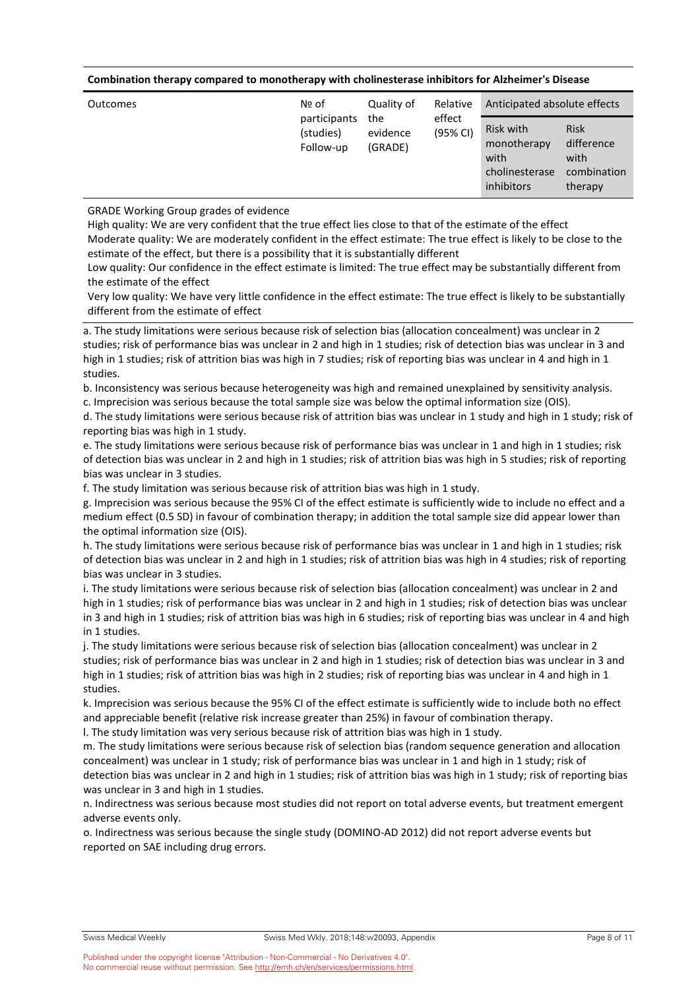#### **Combination therapy compared to monotherapy with cholinesterase inhibitors for Alzheimer's Disease**

| Outcomes | Nº of                                  | Quality of                 | Relative           | Anticipated absolute effects                                     |                                                             |
|----------|----------------------------------------|----------------------------|--------------------|------------------------------------------------------------------|-------------------------------------------------------------|
|          | participants<br>(studies)<br>Follow-up | the<br>evidence<br>(GRADE) | effect<br>(95% CI) | Risk with<br>monotherapy<br>with<br>cholinesterase<br>inhibitors | <b>Risk</b><br>difference<br>with<br>combination<br>therapy |

GRADE Working Group grades of evidence

High quality: We are very confident that the true effect lies close to that of the estimate of the effect Moderate quality: We are moderately confident in the effect estimate: The true effect is likely to be close to the estimate of the effect, but there is a possibility that it is substantially different

Low quality: Our confidence in the effect estimate is limited: The true effect may be substantially different from the estimate of the effect

Very low quality: We have very little confidence in the effect estimate: The true effect is likely to be substantially different from the estimate of effect

a. The study limitations were serious because risk of selection bias (allocation concealment) was unclear in 2 studies; risk of performance bias was unclear in 2 and high in 1 studies; risk of detection bias was unclear in 3 and high in 1 studies; risk of attrition bias was high in 7 studies; risk of reporting bias was unclear in 4 and high in 1 studies.

b. Inconsistency was serious because heterogeneity was high and remained unexplained by sensitivity analysis. c. Imprecision was serious because the total sample size was below the optimal information size (OIS).

d. The study limitations were serious because risk of attrition bias was unclear in 1 study and high in 1 study; risk of reporting bias was high in 1 study.

e. The study limitations were serious because risk of performance bias was unclear in 1 and high in 1 studies; risk of detection bias was unclear in 2 and high in 1 studies; risk of attrition bias was high in 5 studies; risk of reporting bias was unclear in 3 studies.

f. The study limitation was serious because risk of attrition bias was high in 1 study.

g. Imprecision was serious because the 95% CI of the effect estimate is sufficiently wide to include no effect and a medium effect (0.5 SD) in favour of combination therapy; in addition the total sample size did appear lower than the optimal information size (OIS).

h. The study limitations were serious because risk of performance bias was unclear in 1 and high in 1 studies; risk of detection bias was unclear in 2 and high in 1 studies; risk of attrition bias was high in 4 studies; risk of reporting bias was unclear in 3 studies.

i. The study limitations were serious because risk of selection bias (allocation concealment) was unclear in 2 and high in 1 studies; risk of performance bias was unclear in 2 and high in 1 studies; risk of detection bias was unclear in 3 and high in 1 studies; risk of attrition bias was high in 6 studies; risk of reporting bias was unclear in 4 and high in 1 studies.

j. The study limitations were serious because risk of selection bias (allocation concealment) was unclear in 2 studies; risk of performance bias was unclear in 2 and high in 1 studies; risk of detection bias was unclear in 3 and high in 1 studies; risk of attrition bias was high in 2 studies; risk of reporting bias was unclear in 4 and high in 1 studies.

k. Imprecision was serious because the 95% CI of the effect estimate is sufficiently wide to include both no effect and appreciable benefit (relative risk increase greater than 25%) in favour of combination therapy.

l. The study limitation was very serious because risk of attrition bias was high in 1 study.

m. The study limitations were serious because risk of selection bias (random sequence generation and allocation concealment) was unclear in 1 study; risk of performance bias was unclear in 1 and high in 1 study; risk of detection bias was unclear in 2 and high in 1 studies; risk of attrition bias was high in 1 study; risk of reporting bias was unclear in 3 and high in 1 studies.

n. Indirectness was serious because most studies did not report on total adverse events, but treatment emergent adverse events only.

o. Indirectness was serious because the single study (DOMINO-AD 2012) did not report adverse events but reported on SAE including drug errors.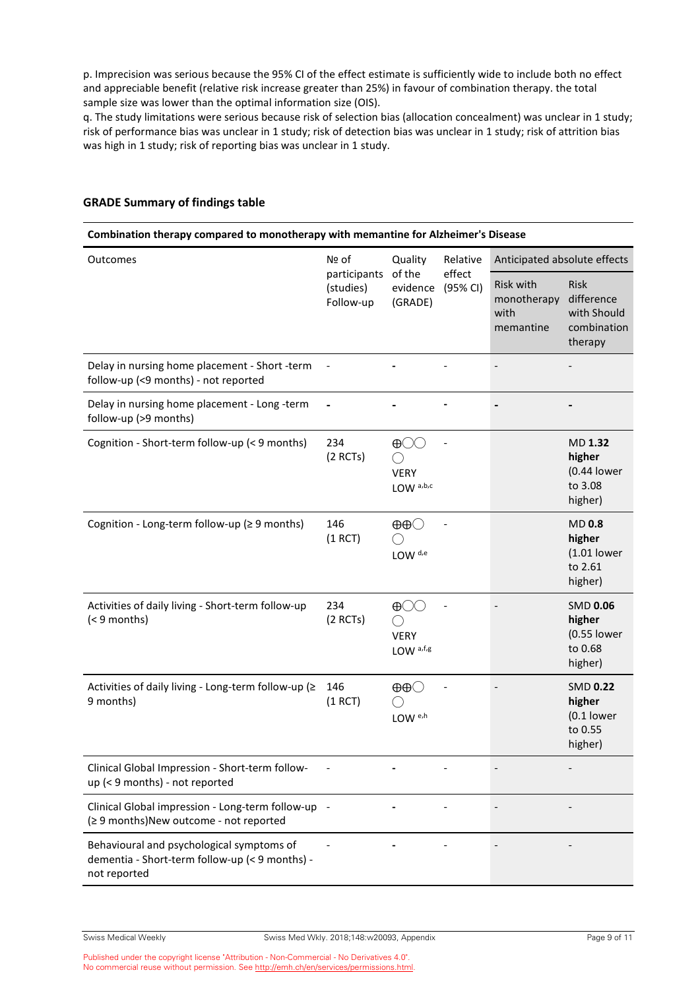p. Imprecision was serious because the 95% CI of the effect estimate is sufficiently wide to include both no effect and appreciable benefit (relative risk increase greater than 25%) in favour of combination therapy. the total sample size was lower than the optimal information size (OIS).

q. The study limitations were serious because risk of selection bias (allocation concealment) was unclear in 1 study; risk of performance bias was unclear in 1 study; risk of detection bias was unclear in 1 study; risk of attrition bias was high in 1 study; risk of reporting bias was unclear in 1 study.

| Combination therapy compared to monotherapy with memantine for Alzheimer's Disease                          |                                                 |                                                                   |                                |                                               |                                                                    |
|-------------------------------------------------------------------------------------------------------------|-------------------------------------------------|-------------------------------------------------------------------|--------------------------------|-----------------------------------------------|--------------------------------------------------------------------|
| Outcomes                                                                                                    | Nº of<br>participants<br>(studies)<br>Follow-up | Quality<br>of the<br>evidence<br>(GRADE)                          | Relative<br>effect<br>(95% CI) | Anticipated absolute effects                  |                                                                    |
|                                                                                                             |                                                 |                                                                   |                                | Risk with<br>monotherapy<br>with<br>memantine | <b>Risk</b><br>difference<br>with Should<br>combination<br>therapy |
| Delay in nursing home placement - Short -term<br>follow-up (<9 months) - not reported                       |                                                 |                                                                   |                                |                                               |                                                                    |
| Delay in nursing home placement - Long -term<br>follow-up (>9 months)                                       |                                                 |                                                                   |                                |                                               |                                                                    |
| Cognition - Short-term follow-up (< 9 months)                                                               | 234<br>$(2$ RCTs)                               | $\oplus \bigcirc \bigcirc$<br><b>VERY</b><br>LOW a,b,c            |                                |                                               | <b>MD 1.32</b><br>higher<br>(0.44 lower<br>to 3.08<br>higher)      |
| Cognition - Long-term follow-up (≥ 9 months)                                                                | 146<br>(1 RCT)                                  | LOW <sup>d,e</sup>                                                |                                |                                               | <b>MD 0.8</b><br>higher<br>$(1.01$ lower<br>to 2.61<br>higher)     |
| Activities of daily living - Short-term follow-up<br>$(< 9$ months)                                         | 234<br>$(2$ RCTs)                               | $\oplus \bigcirc \bigcirc$<br><b>VERY</b><br>LOW <sup>a,f,g</sup> |                                |                                               | <b>SMD 0.06</b><br>higher<br>(0.55 lower<br>to 0.68<br>higher)     |
| Activities of daily living - Long-term follow-up (≥<br>9 months)                                            | 146<br>(1 RCT)                                  | $\oplus\oplus\bigcirc$<br>LOW <sup>e,h</sup>                      |                                |                                               | <b>SMD 0.22</b><br>higher<br>$(0.1$ lower<br>to 0.55<br>higher)    |
| Clinical Global Impression - Short-term follow-<br>up (< 9 months) - not reported                           |                                                 |                                                                   |                                |                                               |                                                                    |
| Clinical Global impression - Long-term follow-up<br>(≥ 9 months)New outcome - not reported                  |                                                 |                                                                   |                                |                                               |                                                                    |
| Behavioural and psychological symptoms of<br>dementia - Short-term follow-up (< 9 months) -<br>not reported |                                                 |                                                                   |                                |                                               |                                                                    |

#### **GRADE Summary of findings table**

Published under the copyright license "Attribution - Non-Commercial - No Derivatives 4.0". No commercial reuse without permission. Se[e http://emh.ch/en/services/permissions.html.](http://emh.ch/en/services/permissions.html)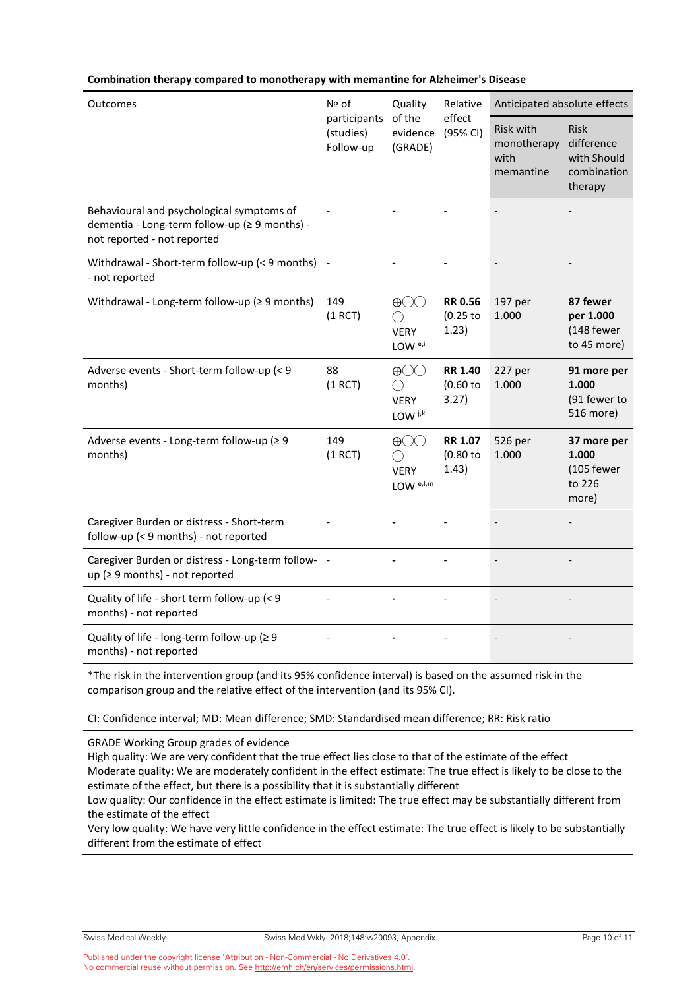| Combination therapy compared to monotherapy with memantine for Alzheimer's Disease                                        |                                                                                             |                                                                             |                                                      |                                                                    |                                                       |  |
|---------------------------------------------------------------------------------------------------------------------------|---------------------------------------------------------------------------------------------|-----------------------------------------------------------------------------|------------------------------------------------------|--------------------------------------------------------------------|-------------------------------------------------------|--|
| Outcomes                                                                                                                  | Nº of<br>Quality<br>of the<br>participants<br>evidence<br>(studies)<br>Follow-up<br>(GRADE) |                                                                             | Relative                                             | Anticipated absolute effects                                       |                                                       |  |
|                                                                                                                           |                                                                                             | effect<br>(95% CI)                                                          | <b>Risk with</b><br>monotherapy<br>with<br>memantine | <b>Risk</b><br>difference<br>with Should<br>combination<br>therapy |                                                       |  |
| Behavioural and psychological symptoms of<br>dementia - Long-term follow-up (≥ 9 months) -<br>not reported - not reported |                                                                                             |                                                                             |                                                      |                                                                    |                                                       |  |
| Withdrawal - Short-term follow-up (< 9 months)<br>- not reported                                                          |                                                                                             |                                                                             |                                                      |                                                                    |                                                       |  |
| Withdrawal - Long-term follow-up ( $\geq 9$ months)                                                                       | 149<br>(1 RCT)                                                                              | $\bigoplus$<br>( )<br><b>VERY</b><br>LOW $e_i$                              | <b>RR 0.56</b><br>$(0.25$ to<br>1.23)                | 197 per<br>1.000                                                   | 87 fewer<br>per 1.000<br>(148 fewer<br>to 45 more)    |  |
| Adverse events - Short-term follow-up (< 9<br>months)                                                                     | 88<br>(1 RCT)                                                                               | $\bigoplus$<br>( )<br><b>VERY</b><br>LOW j <sub>k</sub>                     | <b>RR 1.40</b><br>(0.60)<br>3.27)                    | 227 per<br>1.000                                                   | 91 more per<br>1.000<br>(91 fewer to<br>516 more)     |  |
| Adverse events - Long-term follow-up (≥ 9<br>months)                                                                      | 149<br>(1 RCT)                                                                              | $\bigoplus\bigcirc\bigcirc$<br>( )<br><b>VERY</b><br>$LOW$ <sup>e,l,m</sup> | <b>RR 1.07</b><br>(0.80)<br>1.43)                    | 526 per<br>1.000                                                   | 37 more per<br>1.000<br>(105 fewer<br>to 226<br>more) |  |
| Caregiver Burden or distress - Short-term<br>follow-up (< 9 months) - not reported                                        |                                                                                             |                                                                             |                                                      |                                                                    |                                                       |  |
| Caregiver Burden or distress - Long-term follow-<br>up ( $\geq$ 9 months) - not reported                                  |                                                                                             |                                                                             |                                                      |                                                                    |                                                       |  |
| Quality of life - short term follow-up (< 9<br>months) - not reported                                                     |                                                                                             |                                                                             |                                                      |                                                                    |                                                       |  |
| Quality of life - long-term follow-up (≥ 9<br>months) - not reported                                                      |                                                                                             |                                                                             |                                                      |                                                                    |                                                       |  |

\*The risk in the intervention group (and its 95% confidence interval) is based on the assumed risk in the comparison group and the relative effect of the intervention (and its 95% CI).

CI: Confidence interval; MD: Mean difference; SMD: Standardised mean difference; RR: Risk ratio

GRADE Working Group grades of evidence

High quality: We are very confident that the true effect lies close to that of the estimate of the effect Moderate quality: We are moderately confident in the effect estimate: The true effect is likely to be close to the estimate of the effect, but there is a possibility that it is substantially different Low quality: Our confidence in the effect estimate is limited: The true effect may be substantially different from

the estimate of the effect

Very low quality: We have very little confidence in the effect estimate: The true effect is likely to be substantially different from the estimate of effect